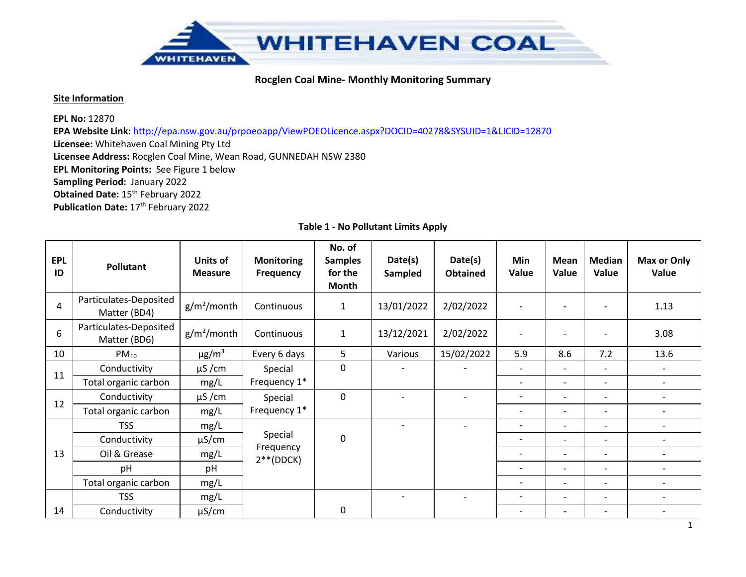

#### **Site Information**

**EPL No:** 12870

**EPA Website Link:** http://epa.nsw.gov.au/prpoeoapp/ViewPOEOLicence.aspx?DOCID=40278&SYSUID=1&LICID=12870

**Licensee:** Whitehaven Coal Mining Pty Ltd

**Licensee Address:** Rocglen Coal Mine, Wean Road, GUNNEDAH NSW 2380

**EPL Monitoring Points:** See Figure 1 below

**Sampling Period:** January 2022

**Obtained Date:** 15<sup>th</sup> February 2022

**Publication Date:** 17<sup>th</sup> February 2022

| <b>EPL</b><br>ID | Pollutant                              | Units of<br><b>Measure</b> | <b>Monitoring</b><br><b>Frequency</b> | No. of<br><b>Samples</b><br>for the<br>Month | Date(s)<br>Sampled       | Date(s)<br><b>Obtained</b> | Min<br>Value             | Mean<br>Value            | <b>Median</b><br>Value   | <b>Max or Only</b><br>Value |
|------------------|----------------------------------------|----------------------------|---------------------------------------|----------------------------------------------|--------------------------|----------------------------|--------------------------|--------------------------|--------------------------|-----------------------------|
| 4                | Particulates-Deposited<br>Matter (BD4) | $g/m^2$ /month             | Continuous                            | $\mathbf{1}$                                 | 13/01/2022               | 2/02/2022                  | $\overline{\phantom{0}}$ |                          |                          | 1.13                        |
| 6                | Particulates-Deposited<br>Matter (BD6) | $g/m^2$ /month             | Continuous                            | $\mathbf{1}$                                 | 13/12/2021               | 2/02/2022                  |                          |                          |                          | 3.08                        |
| 10               | $PM_{10}$                              | $\mu$ g/m <sup>3</sup>     | Every 6 days                          | 5                                            | Various                  | 15/02/2022                 | 5.9                      | 8.6                      | 7.2                      | 13.6                        |
| 11               | Conductivity                           | $\mu$ S/cm                 | Special                               | 0                                            | $\overline{\phantom{a}}$ |                            | $\overline{\phantom{a}}$ | $\overline{a}$           | $\overline{\phantom{0}}$ | $\overline{\phantom{a}}$    |
|                  | Total organic carbon                   | mg/L                       | Frequency 1*                          |                                              |                          |                            | $\overline{\phantom{a}}$ | $\overline{\phantom{a}}$ |                          | $\overline{\phantom{a}}$    |
| 12               | Conductivity                           | $\mu$ S/cm                 | Special                               | $\mathbf 0$                                  |                          |                            | $\overline{\phantom{0}}$ | $\overline{a}$           | $\overline{\phantom{0}}$ | $\overline{\phantom{a}}$    |
|                  | Total organic carbon                   | mg/L                       | Frequency 1*                          |                                              |                          |                            | $\overline{\phantom{a}}$ | $\overline{\phantom{0}}$ | $\overline{\phantom{a}}$ | $\overline{\phantom{a}}$    |
|                  | <b>TSS</b>                             | mg/L                       |                                       |                                              | $\overline{\phantom{0}}$ |                            | $\overline{\phantom{a}}$ | $\overline{a}$           | $\overline{\phantom{a}}$ | $\overline{a}$              |
|                  | Conductivity                           | $\mu$ S/cm                 | Special                               | 0                                            |                          |                            | $\overline{\phantom{0}}$ | $\overline{\phantom{0}}$ | $\overline{\phantom{a}}$ | $\overline{\phantom{a}}$    |
| 13               | Oil & Grease                           | mg/L                       | Frequency<br>$2**$ (DDCK)             |                                              |                          |                            | $\overline{\phantom{a}}$ | $\overline{\phantom{0}}$ | $\overline{\phantom{a}}$ | $\overline{\phantom{a}}$    |
|                  | pH                                     | pH                         |                                       |                                              |                          |                            |                          | $\overline{a}$           | $\overline{\phantom{a}}$ | $\overline{\phantom{a}}$    |
|                  | Total organic carbon                   | mg/L                       |                                       |                                              |                          |                            | $\overline{\phantom{0}}$ | $\overline{\phantom{0}}$ | $\overline{\phantom{0}}$ | $\overline{\phantom{a}}$    |
|                  | <b>TSS</b>                             | mg/L                       |                                       |                                              |                          |                            | $\overline{\phantom{a}}$ | $\overline{\phantom{0}}$ | $\overline{\phantom{a}}$ |                             |
| 14               | Conductivity                           | μS/cm                      |                                       | 0                                            |                          |                            |                          | $\overline{\phantom{0}}$ |                          |                             |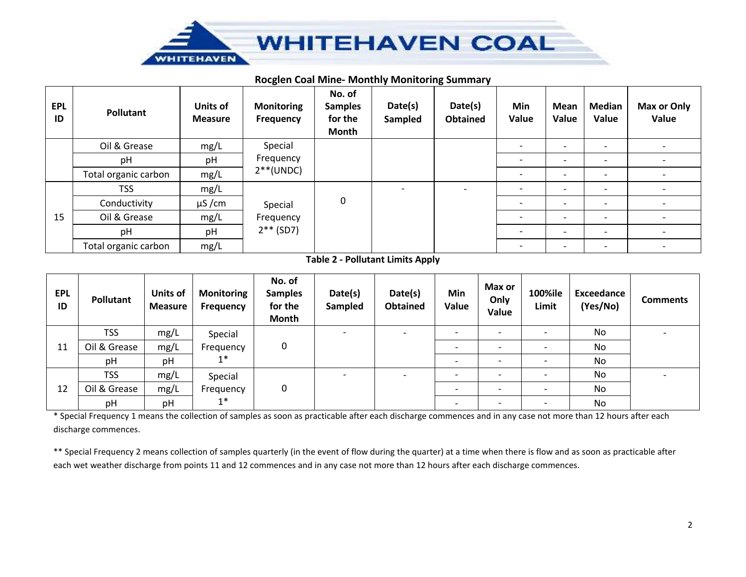

#### **Rocglen Coal Mine- Monthly Monitoring Summary**

| <b>EPL</b><br>ID | Pollutant            | <b>Units of</b><br><b>Measure</b> | <b>Monitoring</b><br><b>Frequency</b>               | No. of<br><b>Samples</b><br>for the<br>Month | Date(s)<br>Sampled       | Date(s)<br><b>Obtained</b> | Min<br>Value             | <b>Mean</b><br>Value     | <b>Median</b><br>Value   | Max or Only<br>Value         |
|------------------|----------------------|-----------------------------------|-----------------------------------------------------|----------------------------------------------|--------------------------|----------------------------|--------------------------|--------------------------|--------------------------|------------------------------|
|                  | Oil & Grease         | mg/L                              | Special                                             |                                              |                          |                            |                          | $\overline{\phantom{0}}$ | $\overline{\phantom{a}}$ | $\overline{\phantom{a}}$     |
|                  | pH                   | pH                                | Frequency                                           |                                              |                          |                            |                          |                          | $\overline{\phantom{0}}$ | $\qquad \qquad \blacksquare$ |
|                  | Total organic carbon | mg/L                              | $2**$ (UNDC)<br>Special<br>Frequency<br>$2**$ (SD7) |                                              |                          |                            | $\overline{\phantom{0}}$ | $\overline{\phantom{0}}$ | $\overline{\phantom{a}}$ | $\overline{\phantom{a}}$     |
|                  | <b>TSS</b>           | mg/L                              |                                                     |                                              | $\overline{\phantom{0}}$ |                            |                          | $\overline{\phantom{0}}$ | $\overline{\phantom{0}}$ | $\overline{\phantom{a}}$     |
|                  | Conductivity         | $\mu$ S/cm                        |                                                     | 0                                            |                          |                            |                          | $\overline{\phantom{0}}$ | $\overline{\phantom{0}}$ | $\overline{\phantom{a}}$     |
| 15               | Oil & Grease         | mg/L                              |                                                     |                                              |                          |                            |                          |                          | $\overline{\phantom{a}}$ | $\overline{\phantom{a}}$     |
|                  | pH                   | pH                                |                                                     |                                              |                          |                            |                          | $\overline{\phantom{a}}$ | $\overline{\phantom{a}}$ | $\overline{\phantom{a}}$     |
|                  | Total organic carbon | mg/L                              |                                                     |                                              |                          |                            |                          |                          | $\overline{\phantom{0}}$ | $\overline{\phantom{a}}$     |

#### **Table 2 - Pollutant Limits Apply**

| <b>EPL</b><br>ID | Pollutant    | <b>Units of</b><br><b>Measure</b> | <b>Monitoring</b><br>Frequency | No. of<br><b>Samples</b><br>for the<br>Month | Date(s)<br>Sampled       | Date(s)<br><b>Obtained</b> | Min<br>Value | Max or<br>Only<br>Value | 100%ile<br>Limit         | Exceedance<br>(Yes/No) | <b>Comments</b> |
|------------------|--------------|-----------------------------------|--------------------------------|----------------------------------------------|--------------------------|----------------------------|--------------|-------------------------|--------------------------|------------------------|-----------------|
|                  | <b>TSS</b>   | mg/L                              | Special                        |                                              | $\overline{\phantom{0}}$ | $\overline{\phantom{0}}$   |              |                         |                          | No                     |                 |
| 11               | Oil & Grease | mg/L                              | Frequency                      | 0                                            |                          |                            |              |                         | $\overline{\phantom{0}}$ | No                     |                 |
|                  | pH           | pH                                | $1*$                           |                                              |                          |                            |              |                         | $\overline{\phantom{0}}$ | No                     |                 |
|                  | <b>TSS</b>   | mg/L                              | Special                        |                                              | $\overline{\phantom{0}}$ | $\overline{\phantom{0}}$   |              |                         | $\overline{\phantom{a}}$ | No                     |                 |
| 12               | Oil & Grease | mg/L                              | Frequency                      | 0                                            |                          |                            |              |                         | $\overline{\phantom{0}}$ | No                     |                 |
|                  | pH           | pH                                | $1*$                           |                                              |                          |                            |              |                         | $\overline{\phantom{0}}$ | No                     |                 |

\* Special Frequency 1 means the collection of samples as soon as practicable after each discharge commences and in any case not more than 12 hours after each discharge commences.

\*\* Special Frequency 2 means collection of samples quarterly (in the event of flow during the quarter) at a time when there is flow and as soon as practicable after each wet weather discharge from points 11 and 12 commences and in any case not more than 12 hours after each discharge commences.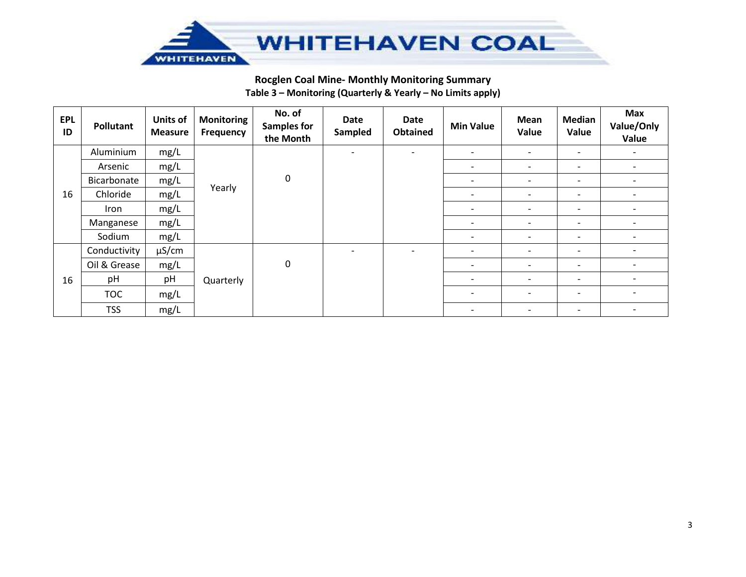

# **Rocglen Coal Mine- Monthly Monitoring Summary Table 3 – Monitoring (Quarterly & Yearly – No Limits apply)**

| <b>EPL</b><br>ID | Pollutant    | <b>Units of</b><br><b>Measure</b> | <b>Monitoring</b><br><b>Frequency</b> | No. of<br><b>Samples for</b><br>the Month | Date<br>Sampled          | <b>Date</b><br><b>Obtained</b> | <b>Min Value</b>         | Mean<br>Value            | <b>Median</b><br>Value       | <b>Max</b><br>Value/Only<br>Value |
|------------------|--------------|-----------------------------------|---------------------------------------|-------------------------------------------|--------------------------|--------------------------------|--------------------------|--------------------------|------------------------------|-----------------------------------|
|                  | Aluminium    | mg/L                              |                                       |                                           | $\overline{\phantom{a}}$ | $\overline{\phantom{a}}$       | ۰.                       | $\overline{\phantom{a}}$ | $\overline{\phantom{a}}$     | $\overline{\phantom{a}}$          |
|                  | Arsenic      | mg/L                              |                                       |                                           |                          |                                | $\overline{\phantom{a}}$ | $\overline{\phantom{a}}$ | $\overline{\phantom{a}}$     | $\overline{\phantom{a}}$          |
|                  | Bicarbonate  | mg/L                              |                                       | $\pmb{0}$                                 |                          |                                | $\overline{\phantom{a}}$ | $\overline{\phantom{a}}$ | $\overline{\phantom{0}}$     | $\overline{\phantom{a}}$          |
| 16               | Chloride     | mg/L                              | Yearly                                |                                           |                          |                                | $\overline{\phantom{a}}$ | $\overline{\phantom{a}}$ | $\qquad \qquad \blacksquare$ | $\overline{\phantom{0}}$          |
|                  | Iron         | mg/L                              |                                       |                                           |                          |                                | $\overline{\phantom{a}}$ | $\overline{\phantom{a}}$ | $\overline{\phantom{a}}$     | $\overline{\phantom{a}}$          |
|                  | Manganese    | mg/L                              |                                       |                                           |                          |                                | $\overline{\phantom{a}}$ | $\overline{\phantom{0}}$ | $\overline{\phantom{a}}$     | $\overline{\phantom{0}}$          |
|                  | Sodium       | mg/L                              |                                       |                                           |                          |                                | $\overline{\phantom{a}}$ | $\overline{\phantom{a}}$ | $\overline{\phantom{a}}$     | $\overline{\phantom{a}}$          |
|                  | Conductivity | $\mu$ S/cm                        |                                       |                                           | $\overline{\phantom{a}}$ |                                | ۰.                       | -                        | $\overline{\phantom{a}}$     |                                   |
|                  | Oil & Grease | mg/L                              |                                       | $\pmb{0}$                                 |                          |                                | $\overline{\phantom{a}}$ | $\overline{\phantom{a}}$ | $\overline{\phantom{a}}$     | $\overline{\phantom{a}}$          |
| 16               | pH           | pH                                | Quarterly                             |                                           |                          |                                | $\overline{\phantom{a}}$ | $\overline{\phantom{a}}$ | $\overline{\phantom{a}}$     | $\overline{\phantom{a}}$          |
|                  | <b>TOC</b>   | mg/L                              |                                       |                                           |                          |                                | $\overline{\phantom{0}}$ |                          | $\overline{\phantom{a}}$     | $\overline{\phantom{a}}$          |
|                  | <b>TSS</b>   | mg/L                              |                                       |                                           |                          |                                | $\overline{\phantom{a}}$ | $\overline{\phantom{0}}$ | $\overline{\phantom{a}}$     | $\overline{\phantom{a}}$          |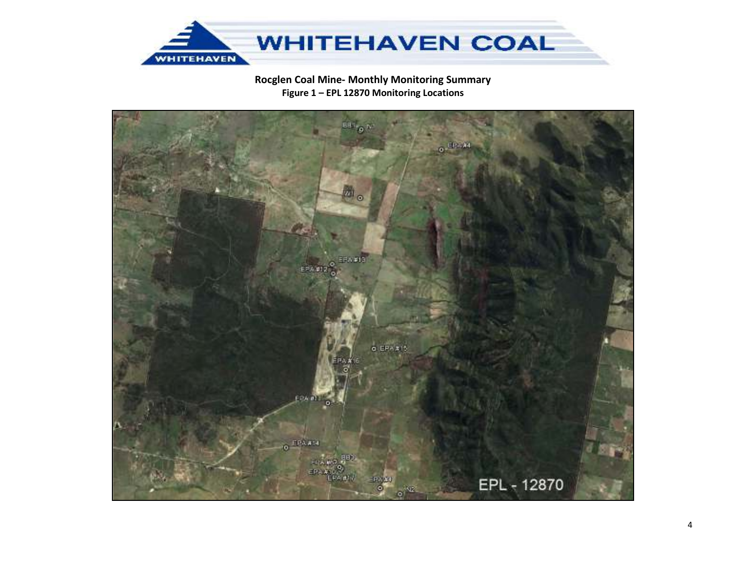

# Rocglen Coal Mine- Monthly Monitoring Summary Figure 1 - EPL 12870 Monitoring Locations

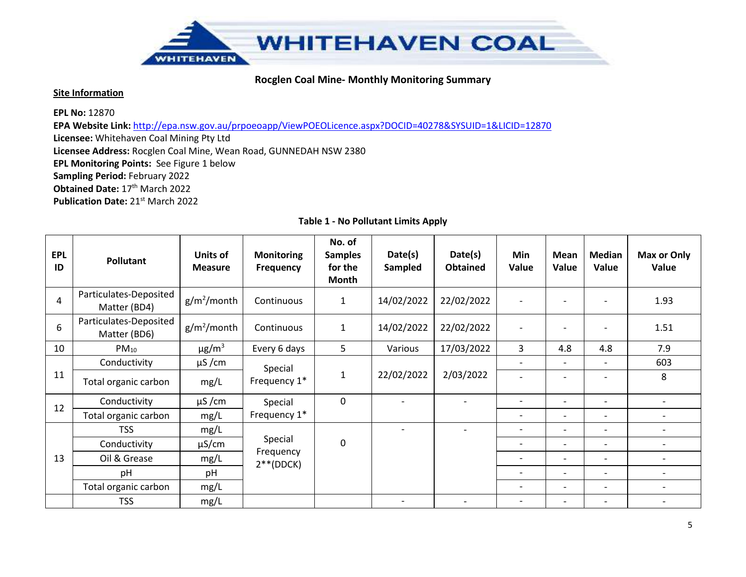

#### **Site Information**

**EPL No:** 12870

**EPA Website Link:** http://epa.nsw.gov.au/prpoeoapp/ViewPOEOLicence.aspx?DOCID=40278&SYSUID=1&LICID=12870

**Licensee:** Whitehaven Coal Mining Pty Ltd

**Licensee Address:** Rocglen Coal Mine, Wean Road, GUNNEDAH NSW 2380

**EPL Monitoring Points:** See Figure 1 below

**Sampling Period:** February 2022

**Obtained Date: 17th March 2022** 

**Publication Date:** 21st March 2022

| <b>EPL</b><br>ID | Pollutant                              | <b>Units of</b><br><b>Measure</b> | <b>Monitoring</b><br><b>Frequency</b> | No. of<br><b>Samples</b><br>for the<br>Month | Date(s)<br>Sampled       | Date(s)<br><b>Obtained</b> | Min<br>Value                 | Mean<br>Value            | Median<br>Value          | Max or Only<br>Value     |
|------------------|----------------------------------------|-----------------------------------|---------------------------------------|----------------------------------------------|--------------------------|----------------------------|------------------------------|--------------------------|--------------------------|--------------------------|
| 4                | Particulates-Deposited<br>Matter (BD4) | $g/m^2$ /month                    | Continuous                            | 1                                            | 14/02/2022               | 22/02/2022                 | $\overline{\phantom{0}}$     |                          |                          | 1.93                     |
| 6                | Particulates-Deposited<br>Matter (BD6) | $g/m^2$ /month                    | Continuous                            | $\mathbf{1}$                                 | 14/02/2022               | 22/02/2022                 | $\overline{a}$               |                          |                          | 1.51                     |
| 10               | $PM_{10}$                              | $\mu$ g/m $^3$                    | Every 6 days                          | 5                                            | Various                  | 17/03/2022                 | 3                            | 4.8                      | 4.8                      | 7.9                      |
|                  | Conductivity                           | $\mu$ S/cm                        | Special                               |                                              |                          |                            | $\overline{\phantom{0}}$     | $\overline{\phantom{0}}$ |                          | 603                      |
| 11               | Total organic carbon                   | mg/L                              | Frequency 1*                          | 1                                            | 22/02/2022               | 2/03/2022                  |                              |                          |                          | 8                        |
|                  | Conductivity                           | $\mu$ S/cm                        | Special                               | $\mathbf 0$                                  |                          |                            | $\qquad \qquad \blacksquare$ | $\overline{\phantom{0}}$ | $\overline{\phantom{0}}$ | $\overline{\phantom{0}}$ |
| 12               | Total organic carbon                   | mg/L                              | Frequency 1*                          |                                              |                          |                            | $\overline{\phantom{a}}$     | $\overline{\phantom{0}}$ | $\overline{\phantom{a}}$ | $\overline{\phantom{0}}$ |
|                  | <b>TSS</b>                             | mg/L                              |                                       |                                              | $\overline{\phantom{a}}$ |                            | $\qquad \qquad \blacksquare$ | $\overline{\phantom{0}}$ | $\overline{\phantom{0}}$ |                          |
|                  | Conductivity                           | $\mu$ S/cm                        | Special                               | $\mathbf{0}$                                 |                          |                            | $\qquad \qquad \blacksquare$ | $\overline{\phantom{0}}$ | $\overline{\phantom{a}}$ |                          |
| 13               | Oil & Grease                           | mg/L                              | Frequency<br>$2**$ (DDCK)             |                                              |                          |                            |                              |                          | $\overline{\phantom{a}}$ |                          |
|                  | pH                                     | pH                                |                                       |                                              |                          |                            |                              | $\overline{\phantom{0}}$ | $\overline{\phantom{0}}$ | $\overline{\phantom{0}}$ |
|                  | Total organic carbon                   | mg/L                              |                                       |                                              |                          |                            | $\overline{\phantom{0}}$     | $\overline{\phantom{0}}$ | $\overline{\phantom{a}}$ |                          |
|                  | <b>TSS</b>                             | mg/L                              |                                       |                                              |                          |                            | $\overline{\phantom{0}}$     | $\overline{\phantom{0}}$ | $\overline{\phantom{0}}$ |                          |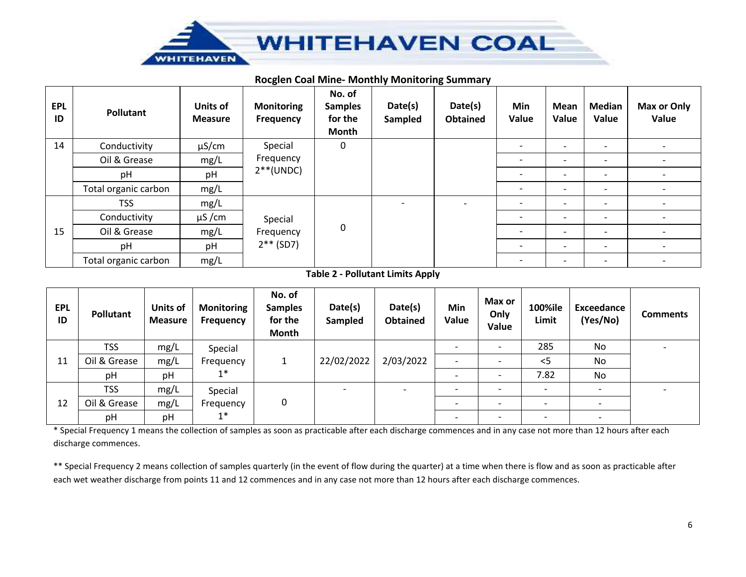

#### **Rocglen Coal Mine- Monthly Monitoring Summary**

| <b>EPL</b><br>ID | <b>Pollutant</b>     | <b>Units of</b><br><b>Measure</b> | <b>Monitoring</b><br>Frequency | No. of<br><b>Samples</b><br>for the<br>Month | Date(s)<br>Sampled | Date(s)<br><b>Obtained</b> | Min<br>Value             | Mean<br>Value            | <b>Median</b><br>Value   | Max or Only<br>Value     |
|------------------|----------------------|-----------------------------------|--------------------------------|----------------------------------------------|--------------------|----------------------------|--------------------------|--------------------------|--------------------------|--------------------------|
| 14               | Conductivity         | $\mu$ S/cm                        | Special                        | 0                                            |                    |                            | $\overline{\phantom{a}}$ | $\overline{\phantom{0}}$ | $\overline{\phantom{0}}$ | $\overline{\phantom{a}}$ |
|                  | Oil & Grease         | mg/L                              | Frequency<br>$2**$ (UNDC)      |                                              |                    |                            | $\overline{\phantom{0}}$ | $\overline{\phantom{0}}$ | $\overline{\phantom{0}}$ | $\overline{\phantom{a}}$ |
|                  | pH                   | pH                                |                                |                                              |                    | $\overline{\phantom{0}}$   | $\overline{\phantom{0}}$ | $\overline{\phantom{0}}$ | $\overline{\phantom{a}}$ |                          |
|                  | Total organic carbon | mg/L                              |                                |                                              |                    |                            | $\overline{\phantom{a}}$ | $\overline{\phantom{0}}$ | $\overline{\phantom{0}}$ | $\overline{\phantom{a}}$ |
|                  | <b>TSS</b>           | mg/L                              |                                |                                              |                    |                            | $\overline{\phantom{0}}$ | $\overline{\phantom{0}}$ | $\overline{\phantom{0}}$ | $\overline{\phantom{a}}$ |
|                  | Conductivity         | $\mu$ S/cm<br>Special             |                                |                                              |                    |                            | $\overline{\phantom{0}}$ |                          | $\overline{\phantom{a}}$ |                          |
| 15               | Oil & Grease         | mg/L                              | Frequency                      | 0                                            |                    |                            | $\overline{\phantom{0}}$ | $\overline{\phantom{0}}$ |                          | $\overline{\phantom{a}}$ |
|                  | pH                   | pH                                | $2**$ (SD7)                    |                                              |                    |                            |                          | $\overline{\phantom{0}}$ | $\overline{\phantom{0}}$ | $\overline{\phantom{a}}$ |
|                  | Total organic carbon | mg/L                              |                                |                                              |                    |                            |                          |                          |                          | $\overline{\phantom{a}}$ |

**Table 2 - Pollutant Limits Apply**

| <b>EPL</b><br>ID | <b>Pollutant</b> | Units of<br><b>Measure</b> | <b>Monitoring</b><br>Frequency | No. of<br><b>Samples</b><br>for the<br>Month | Date(s)<br>Sampled | Date(s)<br><b>Obtained</b> | Min<br>Value             | Max or<br>Only<br>Value  | 100%ile<br>Limit         | <b>Exceedance</b><br>(Yes/No) | <b>Comments</b> |
|------------------|------------------|----------------------------|--------------------------------|----------------------------------------------|--------------------|----------------------------|--------------------------|--------------------------|--------------------------|-------------------------------|-----------------|
|                  | <b>TSS</b>       | mg/L                       | Special                        |                                              |                    |                            |                          |                          | 285                      | No                            |                 |
| 11               | Oil & Grease     | mg/L                       | Frequency                      |                                              | 22/02/2022         | 2/03/2022                  |                          |                          | $<$ 5                    | No                            |                 |
|                  | pH               | pH                         | $1*$                           |                                              |                    |                            | $\overline{\phantom{0}}$ |                          | 7.82                     | <b>No</b>                     |                 |
|                  | <b>TSS</b>       | mg/L                       | Special                        |                                              |                    |                            | $\overline{\phantom{0}}$ |                          | $\overline{\phantom{a}}$ | $\overline{\phantom{a}}$      |                 |
| 12               | Oil & Grease     | mg/L                       | Frequency                      | 0                                            |                    |                            |                          |                          | $\overline{\phantom{0}}$ | $\overline{\phantom{a}}$      |                 |
|                  | pH               | pH                         | $1^*$                          |                                              |                    |                            | $\overline{\phantom{0}}$ | $\overline{\phantom{0}}$ | $\overline{\phantom{0}}$ | $\overline{\phantom{a}}$      |                 |

\* Special Frequency 1 means the collection of samples as soon as practicable after each discharge commences and in any case not more than 12 hours after each discharge commences.

\*\* Special Frequency 2 means collection of samples quarterly (in the event of flow during the quarter) at a time when there is flow and as soon as practicable after each wet weather discharge from points 11 and 12 commences and in any case not more than 12 hours after each discharge commences.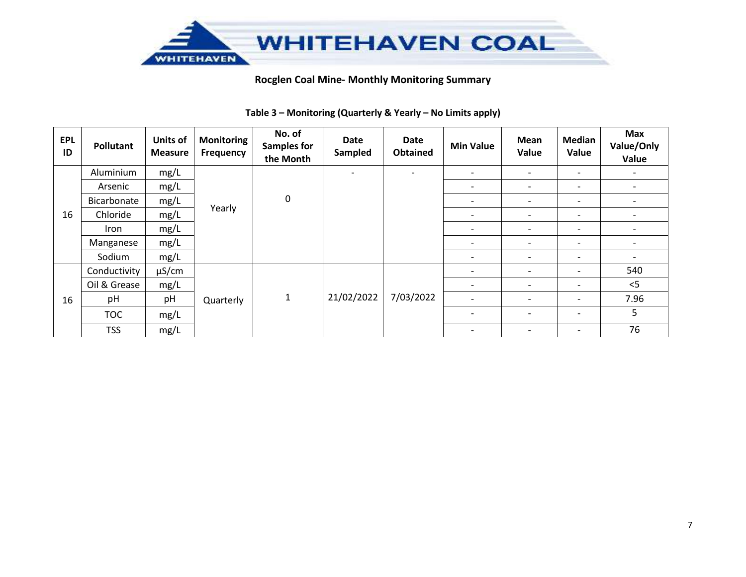

| <b>EPL</b><br>ID | <b>Pollutant</b> | <b>Units of</b><br><b>Measure</b> | <b>Monitoring</b><br>Frequency | No. of<br><b>Samples for</b><br>the Month | Date<br>Sampled          | <b>Date</b><br><b>Obtained</b> | <b>Min Value</b>         | Mean<br>Value            | Median<br>Value          | <b>Max</b><br>Value/Only<br>Value |
|------------------|------------------|-----------------------------------|--------------------------------|-------------------------------------------|--------------------------|--------------------------------|--------------------------|--------------------------|--------------------------|-----------------------------------|
|                  | Aluminium        | mg/L                              |                                |                                           | $\overline{\phantom{a}}$ | $\overline{\phantom{0}}$       | $\overline{\phantom{a}}$ | -                        | $\overline{\phantom{a}}$ | $\overline{\phantom{a}}$          |
|                  | Arsenic          | mg/L                              |                                |                                           |                          |                                | $\overline{\phantom{a}}$ | $\overline{\phantom{a}}$ | -                        |                                   |
|                  | Bicarbonate      | mg/L                              |                                | $\mathbf 0$                               |                          |                                | $\overline{\phantom{a}}$ | $\overline{\phantom{a}}$ | $\overline{\phantom{a}}$ | $\overline{\phantom{0}}$          |
| 16               | Chloride         | mg/L                              | Yearly                         |                                           |                          |                                | $\overline{\phantom{0}}$ | $\overline{\phantom{a}}$ | $\overline{\phantom{a}}$ |                                   |
|                  | Iron             | mg/L                              |                                |                                           |                          |                                | $\overline{\phantom{a}}$ | $\overline{\phantom{a}}$ | $\overline{\phantom{a}}$ | $\overline{\phantom{0}}$          |
|                  | Manganese        | mg/L                              |                                |                                           |                          |                                | $\overline{\phantom{0}}$ | $\overline{\phantom{a}}$ | $\overline{\phantom{a}}$ |                                   |
|                  | Sodium           | mg/L                              |                                |                                           |                          |                                | $\overline{\phantom{a}}$ | $\overline{\phantom{a}}$ | $\overline{\phantom{a}}$ | $\overline{\phantom{0}}$          |
|                  | Conductivity     | $\mu$ S/cm                        |                                |                                           |                          |                                | $\overline{\phantom{a}}$ | $\overline{\phantom{a}}$ | $\overline{\phantom{a}}$ | 540                               |
|                  | Oil & Grease     | mg/L                              |                                |                                           |                          |                                | $\overline{\phantom{a}}$ | $\overline{\phantom{a}}$ | $\overline{\phantom{a}}$ | < 5                               |
| 16               | pH               | pH                                | Quarterly                      | $\mathbf 1$                               | 21/02/2022               | 7/03/2022                      | $\overline{\phantom{0}}$ | $\overline{\phantom{a}}$ | $\overline{\phantom{a}}$ | 7.96                              |
|                  | <b>TOC</b>       | mg/L                              |                                |                                           |                          |                                | $\overline{\phantom{0}}$ | $\overline{\phantom{a}}$ | $\overline{\phantom{a}}$ | 5                                 |
|                  | <b>TSS</b>       | mg/L                              |                                |                                           |                          |                                | $\overline{\phantom{a}}$ | $\overline{\phantom{a}}$ | $\overline{\phantom{a}}$ | 76                                |

## **Table 3 – Monitoring (Quarterly & Yearly – No Limits apply)**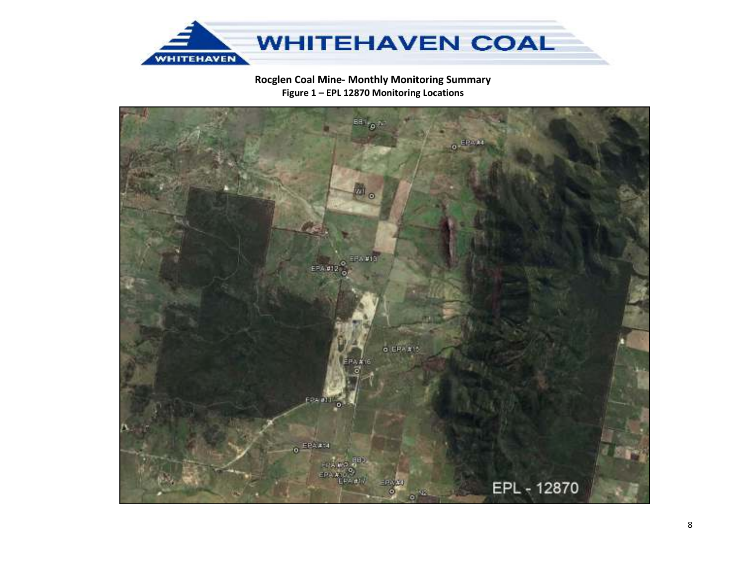

# Rocglen Coal Mine- Monthly Monitoring Summary Figure 1 - EPL 12870 Monitoring Locations

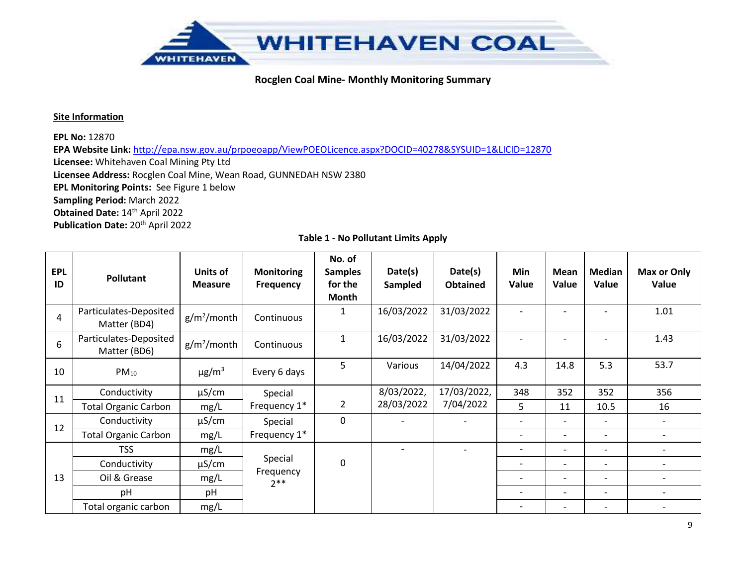

#### **Site Information**

**EPL No:** 12870

**EPA Website Link:** http://epa.nsw.gov.au/prpoeoapp/ViewPOEOLicence.aspx?DOCID=40278&SYSUID=1&LICID=12870

**Licensee:** Whitehaven Coal Mining Pty Ltd

**Licensee Address:** Rocglen Coal Mine, Wean Road, GUNNEDAH NSW 2380

**EPL Monitoring Points:** See Figure 1 below

**Sampling Period:** March 2022

**Obtained Date:** 14th April 2022

**Publication Date:** 20th April 2022

| <b>EPL</b><br>ID | Pollutant                              | Units of<br><b>Measure</b> | <b>Monitoring</b><br><b>Frequency</b> | No. of<br><b>Samples</b><br>for the<br>Month | Date(s)<br>Sampled       | Date(s)<br><b>Obtained</b> | Min<br>Value                 | Mean<br>Value            | <b>Median</b><br>Value   | Max or Only<br>Value         |
|------------------|----------------------------------------|----------------------------|---------------------------------------|----------------------------------------------|--------------------------|----------------------------|------------------------------|--------------------------|--------------------------|------------------------------|
| 4                | Particulates-Deposited<br>Matter (BD4) | $g/m^2$ /month             | Continuous                            | $\mathbf{1}$                                 | 16/03/2022               | 31/03/2022                 |                              |                          |                          | 1.01                         |
| 6                | Particulates-Deposited<br>Matter (BD6) | $g/m^2$ /month             | Continuous                            | $\mathbf{1}$                                 | 16/03/2022               | 31/03/2022                 |                              |                          |                          | 1.43                         |
| 10               | $PM_{10}$                              | $\mu$ g/m <sup>3</sup>     | Every 6 days                          | 5                                            | Various                  | 14/04/2022                 | 4.3                          | 14.8                     | 5.3                      | 53.7                         |
| 11               | Conductivity                           | $\mu$ S/cm                 | Special                               |                                              | 8/03/2022,               | 17/03/2022,                | 348                          | 352                      | 352                      | 356                          |
|                  | <b>Total Organic Carbon</b>            | mg/L                       | Frequency 1*                          | $\overline{2}$                               | 28/03/2022               | 7/04/2022                  | 5                            | 11                       | 10.5                     | 16                           |
| 12               | Conductivity                           | $\mu$ S/cm                 | Special                               | $\mathbf 0$                                  |                          |                            |                              |                          |                          | $\overline{\phantom{a}}$     |
|                  | <b>Total Organic Carbon</b>            | mg/L                       | Frequency 1*                          |                                              |                          |                            | $\qquad \qquad \blacksquare$ | $\overline{\phantom{a}}$ | $\overline{\phantom{a}}$ | $\qquad \qquad \blacksquare$ |
|                  | <b>TSS</b>                             | mg/L                       |                                       |                                              | $\overline{\phantom{0}}$ |                            | $\overline{\phantom{a}}$     | $\overline{\phantom{a}}$ | $\overline{\phantom{a}}$ | $\overline{\phantom{a}}$     |
|                  | Conductivity                           | $\mu$ S/cm                 | Special                               | $\mathbf 0$                                  |                          |                            | $\overline{\phantom{0}}$     | $\overline{\phantom{0}}$ | $\overline{\phantom{0}}$ | $\qquad \qquad \blacksquare$ |
| 13               | Oil & Grease                           | mg/L                       | Frequency<br>$2**$                    |                                              |                          |                            | $\overline{\phantom{a}}$     | $\overline{\phantom{a}}$ | $\blacksquare$           | $\overline{\phantom{a}}$     |
|                  | pH                                     | pH                         |                                       |                                              |                          |                            | $\overline{\phantom{0}}$     | $\overline{\phantom{0}}$ | $\overline{\phantom{0}}$ | $\overline{\phantom{a}}$     |
|                  | Total organic carbon                   | mg/L                       |                                       |                                              |                          |                            | $\overline{\phantom{0}}$     | $\overline{\phantom{a}}$ | $\overline{\phantom{0}}$ |                              |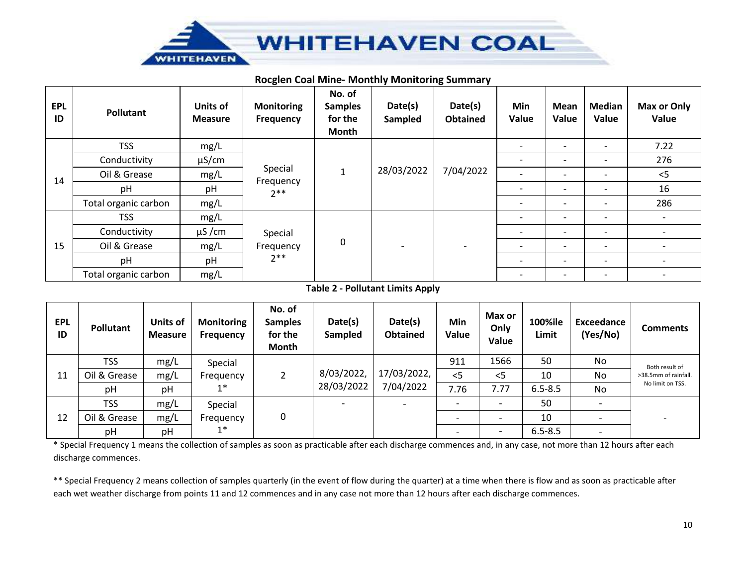

## **Rocglen Coal Mine- Monthly Monitoring Summary**

| <b>EPL</b><br>ID | Pollutant            | <b>Units of</b><br><b>Measure</b> | <b>Monitoring</b><br>Frequency | No. of<br><b>Samples</b><br>for the<br><b>Month</b> | Date(s)<br>Sampled | Date(s)<br><b>Obtained</b> | Min<br>Value             | Mean<br>Value            | <b>Median</b><br>Value   | Max or Only<br>Value     |
|------------------|----------------------|-----------------------------------|--------------------------------|-----------------------------------------------------|--------------------|----------------------------|--------------------------|--------------------------|--------------------------|--------------------------|
|                  | <b>TSS</b>           | mg/L                              |                                |                                                     |                    |                            | $\overline{\phantom{a}}$ | $\overline{\phantom{a}}$ | $\overline{\phantom{a}}$ | 7.22                     |
| 14               | Conductivity         | $\mu$ S/cm                        |                                |                                                     |                    |                            | $\overline{\phantom{0}}$ |                          |                          | 276                      |
|                  | Oil & Grease         | mg/L                              | Special<br>Frequency           | 1                                                   | 28/03/2022         | 7/04/2022                  | $\overline{\phantom{a}}$ | $\overline{\phantom{0}}$ | $\overline{\phantom{0}}$ | $<$ 5                    |
|                  | pH                   | pH                                | $2**$                          |                                                     |                    |                            | $\overline{\phantom{0}}$ | $\overline{\phantom{0}}$ | $\overline{\phantom{a}}$ | 16                       |
|                  | Total organic carbon | mg/L                              |                                |                                                     |                    |                            | $\qquad \qquad$          | $\overline{\phantom{0}}$ | $\overline{\phantom{0}}$ | 286                      |
|                  | <b>TSS</b>           | mg/L                              |                                | 0                                                   |                    |                            | $\overline{\phantom{a}}$ | $\overline{\phantom{a}}$ | $\overline{\phantom{a}}$ | $\overline{\phantom{a}}$ |
|                  | Conductivity         | $\mu$ S/cm                        | Special<br>Frequency           |                                                     |                    |                            | $\overline{\phantom{a}}$ | $\overline{\phantom{0}}$ | $\overline{\phantom{0}}$ | $\overline{\phantom{a}}$ |
| 15               | Oil & Grease         | mg/L                              |                                |                                                     |                    |                            | $\overline{\phantom{a}}$ | $\overline{\phantom{0}}$ | $\overline{\phantom{0}}$ | $\overline{\phantom{0}}$ |
|                  | pH                   | pH                                | $2**$                          |                                                     |                    |                            | $\overline{\phantom{a}}$ | $\qquad \qquad$          | $\overline{\phantom{a}}$ | $\overline{\phantom{a}}$ |
|                  | Total organic carbon | mg/L                              |                                |                                                     |                    |                            | $\overline{\phantom{a}}$ | $\qquad \qquad$          | $\overline{\phantom{0}}$ | $\overline{\phantom{0}}$ |

### **Table 2 - Pollutant Limits Apply**

| <b>EPL</b><br>ID | Pollutant    | Units of<br><b>Measure</b> | <b>Monitoring</b><br><b>Frequency</b> | No. of<br><b>Samples</b><br>for the<br>Month | Date(s)<br>Sampled | Date(s)<br><b>Obtained</b> | Min<br>Value             | Max or<br>Only<br>Value  | 100%ile<br>Limit | Exceedance<br>(Yes/No)   | <b>Comments</b>      |
|------------------|--------------|----------------------------|---------------------------------------|----------------------------------------------|--------------------|----------------------------|--------------------------|--------------------------|------------------|--------------------------|----------------------|
|                  | <b>TSS</b>   | mg/L                       | Special                               |                                              |                    |                            | 911                      | 1566                     | 50               | No                       | Both result of       |
| 11               | Oil & Grease | mg/L                       | Frequency                             |                                              | 8/03/2022,         | 17/03/2022,                | $<$ 5                    | $<$ 5                    | 10               | No                       | >38.5mm of rainfall. |
|                  | pH           | pH                         | $1*$                                  |                                              | 28/03/2022         | 7/04/2022                  | 7.76                     | 7.77                     | $6.5 - 8.5$      | <b>No</b>                | No limit on TSS.     |
|                  | <b>TSS</b>   | mg/L                       | Special                               |                                              |                    |                            | $\overline{\phantom{0}}$ |                          | 50               |                          |                      |
| 12               | Oil & Grease | mg/L                       | Frequency                             | 0                                            |                    |                            |                          | $\overline{\phantom{0}}$ | 10               | $\overline{\phantom{0}}$ |                      |
|                  | pH           | pH                         | $1^*$                                 |                                              |                    |                            |                          |                          | $6.5 - 8.5$      | $\overline{\phantom{0}}$ |                      |

\* Special Frequency 1 means the collection of samples as soon as practicable after each discharge commences and, in any case, not more than 12 hours after each discharge commences.

\*\* Special Frequency 2 means collection of samples quarterly (in the event of flow during the quarter) at a time when there is flow and as soon as practicable after each wet weather discharge from points 11 and 12 commences and in any case not more than 12 hours after each discharge commences.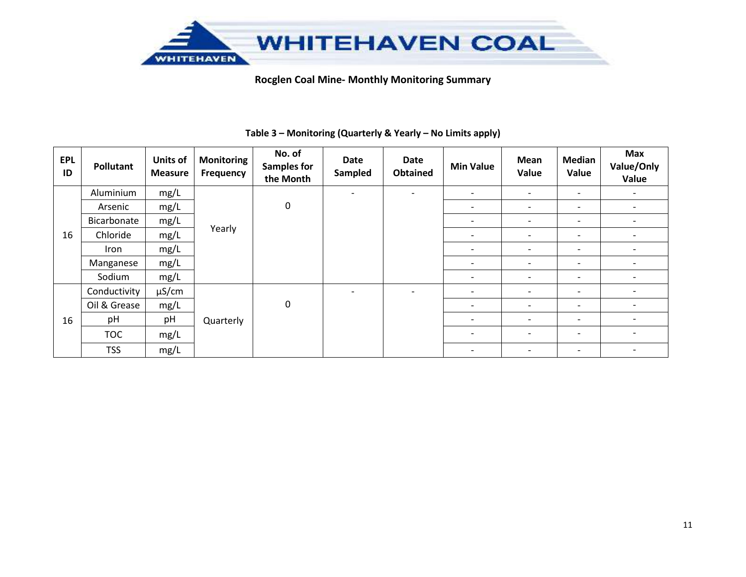

| <b>EPL</b><br>ID | Pollutant    | Units of<br><b>Measure</b> | <b>Monitoring</b><br>Frequency | No. of<br><b>Samples for</b><br>the Month | Date<br>Sampled          | <b>Date</b><br><b>Obtained</b> | <b>Min Value</b>             | Mean<br>Value            | <b>Median</b><br>Value   | <b>Max</b><br>Value/Only<br>Value |
|------------------|--------------|----------------------------|--------------------------------|-------------------------------------------|--------------------------|--------------------------------|------------------------------|--------------------------|--------------------------|-----------------------------------|
|                  | Aluminium    | mg/L                       |                                |                                           | $\overline{\phantom{0}}$ |                                | $\overline{\phantom{0}}$     | $\overline{\phantom{0}}$ | $\overline{\phantom{a}}$ | $\overline{\phantom{a}}$          |
|                  | Arsenic      | mg/L                       |                                | 0                                         |                          |                                | -                            | -                        | $\overline{\phantom{a}}$ |                                   |
|                  | Bicarbonate  | mg/L                       |                                |                                           |                          |                                | $\overline{\phantom{a}}$     | $\overline{\phantom{0}}$ | $\overline{\phantom{0}}$ | $\overline{\phantom{a}}$          |
| 16               | Chloride     | mg/L                       | Yearly                         |                                           |                          |                                | $\overline{\phantom{0}}$     | $\overline{\phantom{0}}$ | $\overline{\phantom{0}}$ |                                   |
|                  | Iron         | mg/L                       |                                |                                           |                          |                                | $\qquad \qquad \blacksquare$ |                          | $\overline{\phantom{a}}$ | $\overline{\phantom{a}}$          |
|                  | Manganese    | mg/L                       |                                |                                           |                          |                                | $\overline{\phantom{0}}$     | $\overline{\phantom{0}}$ | $\overline{\phantom{0}}$ |                                   |
|                  | Sodium       | mg/L                       |                                |                                           |                          |                                | $\qquad \qquad \blacksquare$ |                          | $\overline{\phantom{a}}$ | $\overline{\phantom{0}}$          |
|                  | Conductivity | $\mu$ S/cm                 |                                |                                           | $\overline{\phantom{a}}$ |                                | $\overline{\phantom{a}}$     | -                        | $\overline{\phantom{0}}$ |                                   |
|                  | Oil & Grease | mg/L                       |                                | 0                                         |                          |                                | $\overline{\phantom{0}}$     |                          | $\overline{\phantom{0}}$ | $\overline{\phantom{0}}$          |
| 16               | pH           | pH                         | Quarterly                      |                                           |                          |                                | $\overline{\phantom{a}}$     | -                        | $\overline{\phantom{a}}$ | $\overline{\phantom{0}}$          |
|                  | <b>TOC</b>   | mg/L                       |                                |                                           |                          |                                | $\overline{\phantom{0}}$     |                          | $\overline{\phantom{0}}$ |                                   |
|                  | <b>TSS</b>   | mg/L                       |                                |                                           |                          |                                | $\overline{\phantom{a}}$     | $\overline{\phantom{a}}$ | $\overline{\phantom{a}}$ | $\overline{\phantom{a}}$          |

## **Table 3 – Monitoring (Quarterly & Yearly – No Limits apply)**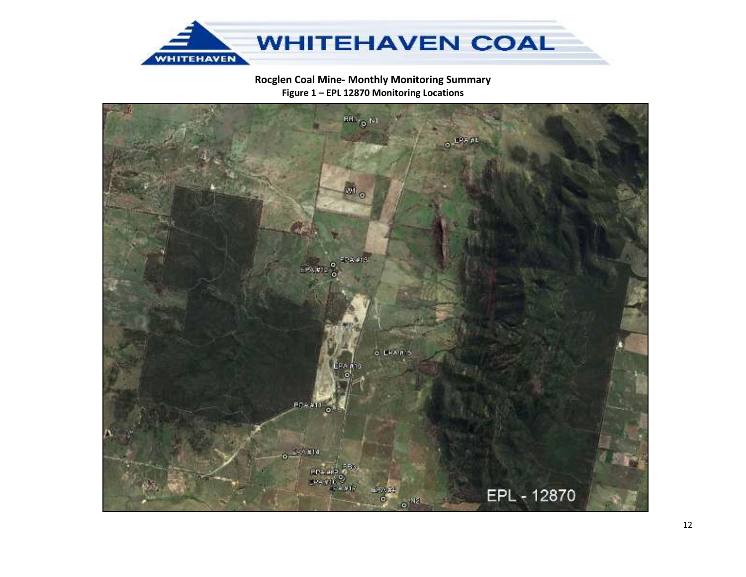

# Rocglen Coal Mine- Monthly Monitoring Summary Figure 1 - EPL 12870 Monitoring Locations

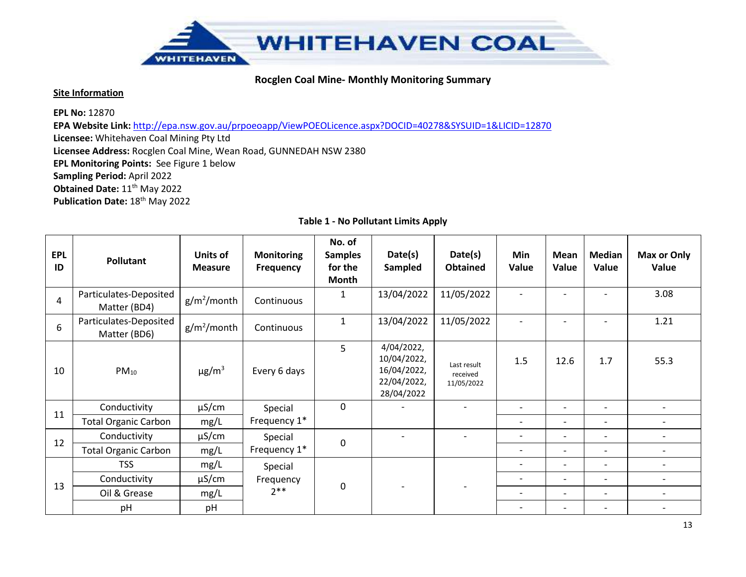

#### **Site Information**

**EPL No:** 12870

**EPA Website Link:** http://epa.nsw.gov.au/prpoeoapp/ViewPOEOLicence.aspx?DOCID=40278&SYSUID=1&LICID=12870

**Licensee:** Whitehaven Coal Mining Pty Ltd

**Licensee Address:** Rocglen Coal Mine, Wean Road, GUNNEDAH NSW 2380

**EPL Monitoring Points:** See Figure 1 below

**Sampling Period:** April 2022

**Obtained Date:** 11<sup>th</sup> May 2022

**Publication Date: 18<sup>th</sup> May 2022** 

| <b>EPL</b><br>ID | Pollutant                              | Units of<br><b>Measure</b> | <b>Monitoring</b><br>Frequency | No. of<br><b>Samples</b><br>for the<br>Month | Date(s)<br>Sampled                                                    | Date(s)<br><b>Obtained</b>            | <b>Min</b><br>Value      | Mean<br>Value            | <b>Median</b><br>Value   | Max or Only<br>Value         |
|------------------|----------------------------------------|----------------------------|--------------------------------|----------------------------------------------|-----------------------------------------------------------------------|---------------------------------------|--------------------------|--------------------------|--------------------------|------------------------------|
| 4                | Particulates-Deposited<br>Matter (BD4) | $g/m^2$ /month             | Continuous                     | 1                                            | 13/04/2022                                                            | 11/05/2022                            | $\overline{\phantom{a}}$ |                          |                          | 3.08                         |
| 6                | Particulates-Deposited<br>Matter (BD6) | $g/m^2$ /month             | Continuous                     | $\mathbf{1}$                                 | 13/04/2022                                                            | 11/05/2022                            | $\overline{\phantom{a}}$ |                          |                          | 1.21                         |
| 10               | $PM_{10}$                              | $\mu$ g/m <sup>3</sup>     | Every 6 days                   | 5                                            | 4/04/2022,<br>10/04/2022,<br>16/04/2022,<br>22/04/2022,<br>28/04/2022 | Last result<br>received<br>11/05/2022 | 1.5                      | 12.6                     | 1.7                      | 55.3                         |
| 11               | Conductivity                           | $\mu$ S/cm                 | Special                        | 0                                            |                                                                       |                                       | $\overline{\phantom{a}}$ | $\overline{\phantom{0}}$ | $\overline{\phantom{a}}$ | $\overline{\phantom{a}}$     |
|                  | <b>Total Organic Carbon</b>            | mg/L                       | Frequency 1*                   |                                              |                                                                       |                                       | $\overline{\phantom{a}}$ | $\overline{\phantom{0}}$ | $\overline{\phantom{a}}$ | $\overline{\phantom{a}}$     |
| 12               | Conductivity                           | $\mu$ S/cm                 | Special                        | $\mathbf 0$                                  |                                                                       |                                       | $\overline{\phantom{a}}$ | $\overline{\phantom{0}}$ | $\overline{\phantom{0}}$ | $\overline{\phantom{0}}$     |
|                  | <b>Total Organic Carbon</b>            | mg/L                       | Frequency 1*                   |                                              |                                                                       |                                       | $\overline{\phantom{a}}$ | $\overline{\phantom{0}}$ | $\overline{\phantom{a}}$ | $\qquad \qquad \blacksquare$ |
|                  | <b>TSS</b>                             | mg/L                       | Special                        |                                              |                                                                       |                                       | $\overline{\phantom{a}}$ | $\overline{\phantom{a}}$ | $\overline{\phantom{0}}$ | $\overline{\phantom{0}}$     |
| 13               | Conductivity                           | $\mu$ S/cm                 | Frequency                      |                                              |                                                                       |                                       | $\overline{\phantom{a}}$ | $\overline{\phantom{a}}$ | $\overline{\phantom{a}}$ | $\overline{\phantom{a}}$     |
|                  | Oil & Grease                           | mg/L                       | $2**$                          | 0                                            |                                                                       |                                       | $\overline{\phantom{0}}$ | $\overline{\phantom{0}}$ | $\overline{\phantom{0}}$ | $\overline{\phantom{0}}$     |
|                  | pH                                     | pH                         |                                |                                              |                                                                       |                                       |                          | $\overline{\phantom{0}}$ | $\qquad \qquad -$        |                              |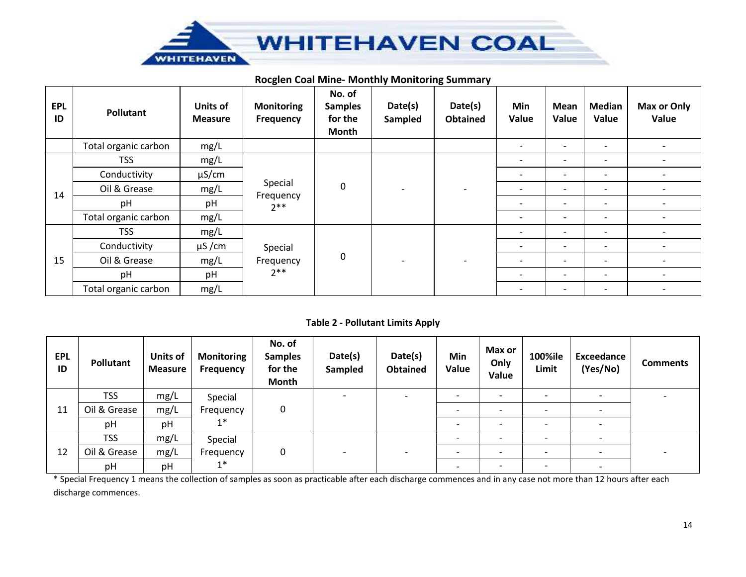

## **Rocglen Coal Mine- Monthly Monitoring Summary**

| <b>EPL</b><br>ID | <b>Pollutant</b>     | Units of<br><b>Measure</b> | <b>Monitoring</b><br><b>Frequency</b> | No. of<br><b>Samples</b><br>for the<br>Month | Date(s)<br>Sampled       | Date(s)<br><b>Obtained</b> | Min<br>Value             | Mean<br>Value            | <b>Median</b><br>Value   | Max or Only<br>Value         |
|------------------|----------------------|----------------------------|---------------------------------------|----------------------------------------------|--------------------------|----------------------------|--------------------------|--------------------------|--------------------------|------------------------------|
|                  | Total organic carbon | mg/L                       |                                       |                                              |                          |                            | $\overline{\phantom{a}}$ | $\overline{\phantom{0}}$ | $\overline{\phantom{0}}$ | $\overline{\phantom{a}}$     |
|                  | <b>TSS</b>           | mg/L                       |                                       |                                              |                          |                            | $\overline{\phantom{0}}$ | $\overline{\phantom{0}}$ | $\overline{\phantom{0}}$ | $\qquad \qquad \blacksquare$ |
|                  | Conductivity         | $\mu$ S/cm                 | Special<br>Frequency<br>$7**$         | 0                                            |                          |                            | $\overline{\phantom{a}}$ | $\overline{\phantom{0}}$ | $\overline{\phantom{a}}$ | $\overline{\phantom{a}}$     |
| 14               | Oil & Grease         | mg/L                       |                                       |                                              |                          |                            | $\overline{\phantom{0}}$ | $\overline{\phantom{0}}$ | $\overline{\phantom{0}}$ | $\overline{\phantom{a}}$     |
|                  | pH                   | pH                         |                                       |                                              |                          |                            | $\overline{\phantom{a}}$ | $\qquad \qquad$          | $\overline{\phantom{a}}$ | $\overline{\phantom{a}}$     |
|                  | Total organic carbon | mg/L                       |                                       |                                              |                          |                            | $\overline{\phantom{a}}$ | $\qquad \qquad$          | $\overline{\phantom{a}}$ | $\overline{\phantom{a}}$     |
|                  | <b>TSS</b>           | mg/L                       |                                       |                                              |                          |                            | $\overline{\phantom{a}}$ | $\qquad \qquad$          | $\overline{\phantom{a}}$ | $\overline{\phantom{a}}$     |
|                  | Conductivity         | $\mu$ S/cm                 | Special                               |                                              |                          |                            | $\overline{\phantom{a}}$ | $\overline{\phantom{a}}$ | $\overline{\phantom{a}}$ | $\overline{\phantom{a}}$     |
| 15               | Oil & Grease         | mg/L                       | Frequency                             | 0                                            | $\overline{\phantom{0}}$ |                            | $\overline{\phantom{a}}$ | $\overline{\phantom{a}}$ | $\overline{\phantom{a}}$ | $\overline{\phantom{a}}$     |
|                  | pH                   | pH                         | $2**$                                 |                                              |                          |                            | $\overline{\phantom{a}}$ | $\overline{\phantom{a}}$ | $\overline{\phantom{a}}$ | $\overline{\phantom{a}}$     |
|                  | Total organic carbon | mg/L                       |                                       |                                              |                          |                            | $\overline{\phantom{a}}$ | $\overline{\phantom{a}}$ | $\overline{\phantom{a}}$ | $\overline{\phantom{a}}$     |

#### **Table 2 - Pollutant Limits Apply**

| <b>EPL</b><br>ID | Pollutant    | Units of<br><b>Measure</b> | <b>Monitoring</b><br><b>Frequency</b> | No. of<br><b>Samples</b><br>for the<br><b>Month</b> | Date(s)<br>Sampled | Date(s)<br><b>Obtained</b> | Min<br>Value             | Max or<br>Only<br>Value  | 100%ile<br>Limit         | <b>Exceedance</b><br>(Yes/No) | <b>Comments</b> |
|------------------|--------------|----------------------------|---------------------------------------|-----------------------------------------------------|--------------------|----------------------------|--------------------------|--------------------------|--------------------------|-------------------------------|-----------------|
| 11               | <b>TSS</b>   | mg/L                       | Special                               |                                                     |                    |                            |                          | $\overline{\phantom{0}}$ | $\overline{\phantom{0}}$ | $\overline{\phantom{0}}$      |                 |
|                  | Oil & Grease | mg/L                       | Frequency<br>1*                       | 0                                                   |                    |                            |                          |                          | $\overline{\phantom{0}}$ |                               |                 |
|                  | pH           | pH                         |                                       |                                                     |                    |                            |                          |                          | $\overline{\phantom{0}}$ |                               |                 |
|                  | <b>TSS</b>   | mg/L                       | Special<br>Frequency                  |                                                     |                    |                            | $\overline{\phantom{0}}$ | $\overline{\phantom{0}}$ | $\overline{\phantom{0}}$ | $\overline{\phantom{a}}$      |                 |
| 12               | Oil & Grease | mg/L                       |                                       | 0                                                   |                    | $\overline{\phantom{0}}$   |                          | $\overline{\phantom{0}}$ | $\overline{\phantom{0}}$ | $\overline{\phantom{a}}$      |                 |
|                  | pH           | pH                         | $1*$                                  |                                                     |                    |                            | $\overline{\phantom{0}}$ |                          | $\overline{\phantom{0}}$ | $\overline{\phantom{a}}$      |                 |

\* Special Frequency 1 means the collection of samples as soon as practicable after each discharge commences and in any case not more than 12 hours after each discharge commences.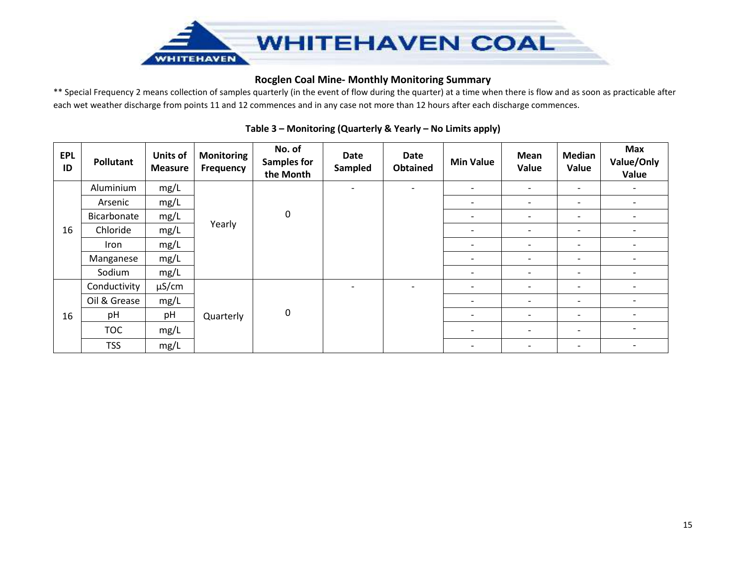

\*\* Special Frequency 2 means collection of samples quarterly (in the event of flow during the quarter) at a time when there is flow and as soon as practicable after each wet weather discharge from points 11 and 12 commences and in any case not more than 12 hours after each discharge commences.

| <b>EPL</b><br>ID | Pollutant    | <b>Units of</b><br><b>Measure</b> | <b>Monitoring</b><br>Frequency | No. of<br><b>Samples for</b><br>the Month | <b>Date</b><br>Sampled   | <b>Date</b><br><b>Obtained</b> | <b>Min Value</b>         | Mean<br>Value            | <b>Median</b><br>Value   | Max<br>Value/Only<br>Value |
|------------------|--------------|-----------------------------------|--------------------------------|-------------------------------------------|--------------------------|--------------------------------|--------------------------|--------------------------|--------------------------|----------------------------|
|                  | Aluminium    | mg/L                              |                                |                                           | $\overline{\phantom{a}}$ | $\overline{\phantom{a}}$       | $\overline{\phantom{a}}$ | $\overline{\phantom{a}}$ | $\overline{\phantom{a}}$ | $\overline{\phantom{a}}$   |
|                  | Arsenic      | mg/L                              | Yearly                         |                                           |                          |                                | $\overline{\phantom{0}}$ | $\overline{\phantom{0}}$ | $\overline{\phantom{a}}$ | $\overline{\phantom{a}}$   |
| 16               | Bicarbonate  | mg/L                              |                                | $\pmb{0}$                                 |                          |                                | $\overline{\phantom{a}}$ | $\overline{\phantom{a}}$ | $\overline{\phantom{a}}$ | $\overline{\phantom{a}}$   |
|                  | Chloride     | mg/L                              |                                |                                           |                          |                                | $\overline{\phantom{0}}$ | $\overline{\phantom{a}}$ | $\overline{\phantom{a}}$ | $\overline{\phantom{a}}$   |
|                  | Iron         | mg/L                              |                                |                                           |                          |                                | $\overline{\phantom{0}}$ | $\overline{\phantom{0}}$ | $\overline{\phantom{0}}$ | $\overline{\phantom{a}}$   |
|                  | Manganese    | mg/L                              |                                |                                           |                          |                                | $\overline{\phantom{0}}$ | $\overline{\phantom{0}}$ | $\overline{\phantom{0}}$ | $\overline{\phantom{a}}$   |
|                  | Sodium       | mg/L                              |                                |                                           |                          |                                | $\overline{\phantom{a}}$ |                          | $\overline{\phantom{0}}$ | $\overline{\phantom{a}}$   |
|                  | Conductivity | $\mu$ S/cm                        |                                |                                           | $\overline{\phantom{a}}$ | $\overline{\phantom{0}}$       | $\overline{\phantom{a}}$ | $\overline{\phantom{0}}$ | $\overline{\phantom{a}}$ | $\overline{\phantom{a}}$   |
|                  | Oil & Grease | mg/L                              |                                |                                           |                          |                                | $\overline{\phantom{a}}$ | $\overline{\phantom{a}}$ | $\overline{\phantom{a}}$ | $\overline{\phantom{a}}$   |
| 16               | pH           | pH                                | Quarterly                      | $\boldsymbol{0}$                          |                          |                                | $\overline{\phantom{a}}$ | $\overline{\phantom{0}}$ | $\overline{\phantom{a}}$ | $\overline{\phantom{a}}$   |
|                  | <b>TOC</b>   | mg/L                              |                                |                                           |                          |                                | $\overline{\phantom{a}}$ | $\overline{\phantom{a}}$ | $\overline{\phantom{a}}$ | $\overline{\phantom{a}}$   |
|                  | <b>TSS</b>   | mg/L                              |                                |                                           |                          |                                | $\overline{\phantom{a}}$ | $\overline{\phantom{a}}$ | $\overline{\phantom{a}}$ | $\overline{\phantom{a}}$   |

## **Table 3 – Monitoring (Quarterly & Yearly – No Limits apply)**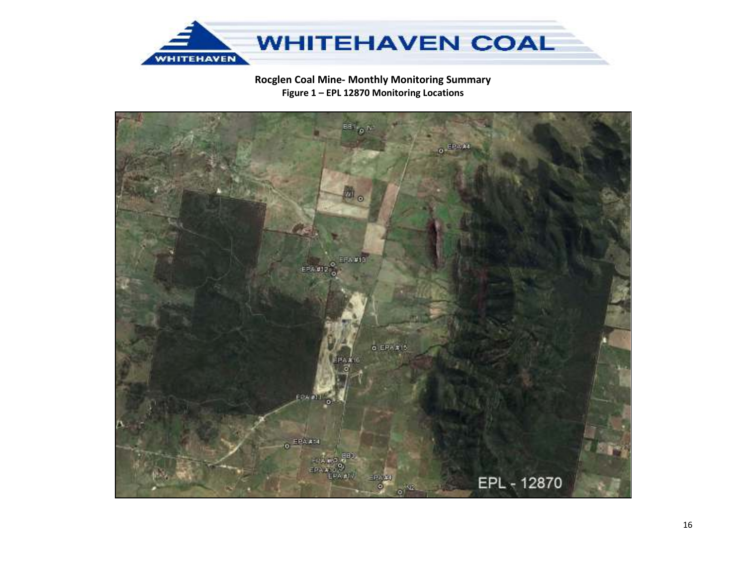

# Rocglen Coal Mine- Monthly Monitoring Summary Figure 1 - EPL 12870 Monitoring Locations

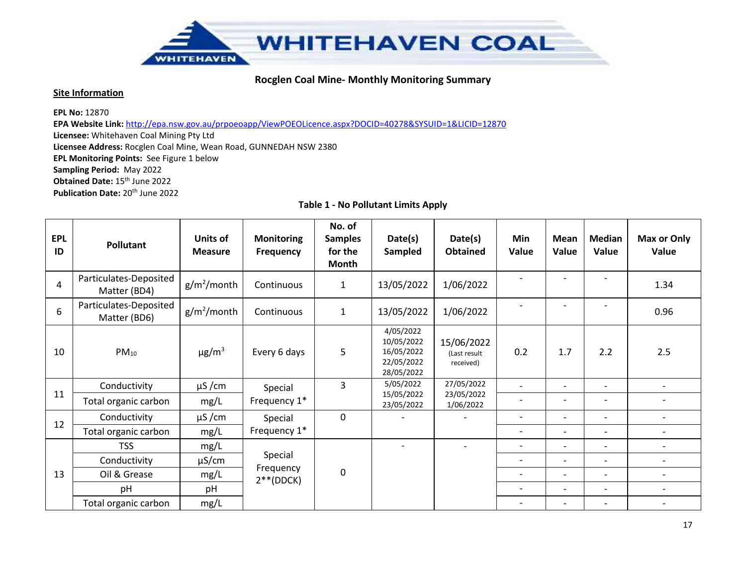

#### **Site Information**

**EPL No:** 12870

 **EPA Website Link:** http://epa.nsw.gov.au/prpoeoapp/ViewPOEOLicence.aspx?DOCID=40278&SYSUID=1&LICID=12870**Licensee:** Whitehaven Coal Mining Pty Ltd **Licensee Address:** Rocglen Coal Mine, Wean Road, GUNNEDAH NSW 2380 **EPL Monitoring Points:** See Figure 1 below **Sampling Period:** May 2022 **Obtained Date:** 15th June 2022 **Publication Date:** 20<sup>th</sup> June 2022

| <b>EPL</b><br>ID | <b>Pollutant</b>                       | Units of<br><b>Measure</b> | <b>Monitoring</b><br><b>Frequency</b> | No. of<br><b>Samples</b><br>for the<br>Month | Date(s)<br>Sampled                                                | Date(s)<br><b>Obtained</b>              | Min<br>Value             | Mean<br>Value            | <b>Median</b><br>Value   | Max or Only<br>Value         |
|------------------|----------------------------------------|----------------------------|---------------------------------------|----------------------------------------------|-------------------------------------------------------------------|-----------------------------------------|--------------------------|--------------------------|--------------------------|------------------------------|
| $\overline{4}$   | Particulates-Deposited<br>Matter (BD4) | $g/m^2$ /month             | Continuous                            | $\mathbf{1}$                                 | 13/05/2022                                                        | 1/06/2022                               | $\overline{\phantom{a}}$ |                          |                          | 1.34                         |
| 6                | Particulates-Deposited<br>Matter (BD6) | $g/m^2$ /month             | Continuous                            | $\mathbf{1}$                                 | 13/05/2022                                                        | 1/06/2022                               | $\overline{\phantom{a}}$ |                          | $\overline{\phantom{0}}$ | 0.96                         |
| 10               | $PM_{10}$                              | $\mu$ g/m <sup>3</sup>     | Every 6 days                          | 5                                            | 4/05/2022<br>10/05/2022<br>16/05/2022<br>22/05/2022<br>28/05/2022 | 15/06/2022<br>(Last result<br>received) | 0.2                      | 1.7                      | 2.2                      | 2.5                          |
|                  | Conductivity                           | $\mu$ S/cm                 | Special                               | 3                                            | 5/05/2022                                                         | 27/05/2022                              | $\overline{\phantom{0}}$ | $\overline{\phantom{a}}$ | $\overline{\phantom{a}}$ | $\overline{\phantom{a}}$     |
| 11               | Total organic carbon                   | mg/L                       | Frequency 1*                          |                                              | 15/05/2022<br>23/05/2022                                          | 23/05/2022<br>1/06/2022                 | $\overline{\phantom{a}}$ | $\overline{\phantom{0}}$ | $\overline{a}$           | $\qquad \qquad \blacksquare$ |
| 12               | Conductivity                           | $\mu$ S/cm                 | Special                               | 0                                            |                                                                   |                                         | $\overline{\phantom{a}}$ | $\overline{\phantom{a}}$ | $\overline{\phantom{a}}$ | $\overline{\phantom{a}}$     |
|                  | Total organic carbon                   | mg/L                       | Frequency 1*                          |                                              |                                                                   |                                         | $\overline{\phantom{a}}$ | $\overline{\phantom{a}}$ | -                        | $\overline{\phantom{a}}$     |
|                  | <b>TSS</b>                             | mg/L                       |                                       |                                              | $\overline{a}$                                                    |                                         | $\overline{\phantom{0}}$ | $\overline{\phantom{a}}$ | $\overline{\phantom{0}}$ | $\overline{\phantom{a}}$     |
|                  | Conductivity                           | $\mu$ S/cm                 | Special                               |                                              |                                                                   |                                         | $\overline{\phantom{a}}$ | $\overline{\phantom{a}}$ | $\overline{\phantom{0}}$ | $\overline{\phantom{a}}$     |
| 13               | Oil & Grease                           | mg/L                       | Frequency<br>$2**$ (DDCK)             | 0                                            |                                                                   |                                         | $\overline{\phantom{a}}$ | $\overline{\phantom{a}}$ | $\overline{\phantom{0}}$ | $\overline{\phantom{a}}$     |
|                  | pH                                     | pH                         |                                       |                                              |                                                                   |                                         | $\overline{\phantom{a}}$ | $\overline{\phantom{0}}$ | $\overline{\phantom{0}}$ | $\qquad \qquad -$            |
|                  | Total organic carbon                   | mg/L                       |                                       |                                              |                                                                   |                                         | $\overline{\phantom{a}}$ | $\overline{\phantom{a}}$ | -                        |                              |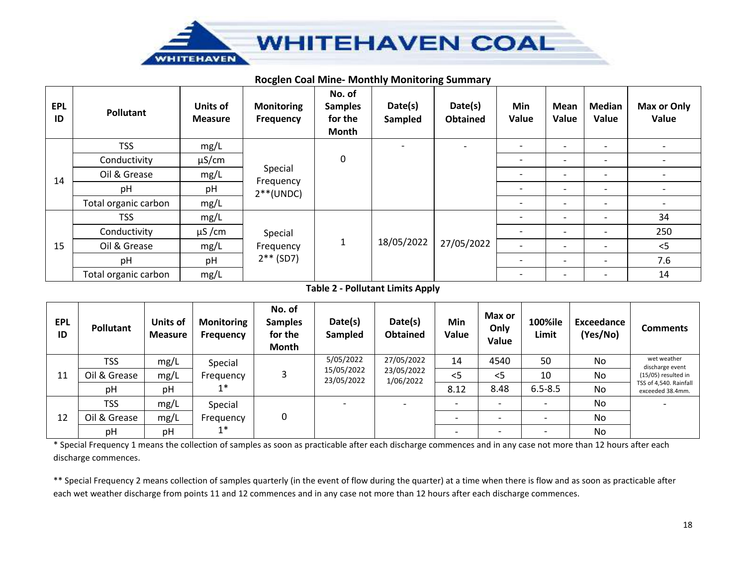

#### **Rocglen Coal Mine- Monthly Monitoring Summary**

| <b>EPL</b><br>ID | <b>Pollutant</b>     | <b>Units of</b><br><b>Measure</b> | <b>Monitoring</b><br><b>Frequency</b> | No. of<br><b>Samples</b><br>for the<br>Month | Date(s)<br>Sampled | Date(s)<br><b>Obtained</b> | Min<br>Value                 | <b>Mean</b><br>Value     | <b>Median</b><br>Value   | <b>Max or Only</b><br>Value |
|------------------|----------------------|-----------------------------------|---------------------------------------|----------------------------------------------|--------------------|----------------------------|------------------------------|--------------------------|--------------------------|-----------------------------|
|                  | <b>TSS</b>           | mg/L                              |                                       |                                              |                    |                            | $\overline{\phantom{a}}$     | $\overline{\phantom{0}}$ | $\overline{\phantom{a}}$ | $\overline{\phantom{a}}$    |
|                  | Conductivity         | $\mu$ S/cm                        | Special<br>Frequency<br>$2**$ (UNDC)  | $\mathbf 0$                                  |                    |                            | $\overline{\phantom{0}}$     | $\overline{\phantom{0}}$ | $\overline{\phantom{0}}$ | $\overline{\phantom{0}}$    |
| 14               | Oil & Grease         | mg/L                              |                                       |                                              |                    |                            |                              | $\overline{\phantom{0}}$ | $\overline{\phantom{a}}$ | $\overline{\phantom{a}}$    |
|                  | рH                   | pH                                |                                       |                                              |                    |                            | $\overline{\phantom{0}}$     | $\overline{\phantom{0}}$ | $\overline{\phantom{a}}$ | $\overline{\phantom{0}}$    |
|                  | Total organic carbon | mg/L                              |                                       |                                              |                    |                            |                              |                          | $\overline{\phantom{0}}$ | $\overline{\phantom{a}}$    |
|                  | <b>TSS</b>           | mg/L                              |                                       |                                              |                    |                            | $\qquad \qquad \blacksquare$ | $\overline{\phantom{0}}$ | $\overline{\phantom{a}}$ | 34                          |
|                  | Conductivity         | $\mu$ S/cm                        | Special                               |                                              |                    |                            |                              | ۰                        |                          | 250                         |
| 15               | Oil & Grease         | mg/L                              | Frequency<br>$2**$ (SD7)              | 1                                            | 18/05/2022         | 27/05/2022                 | $\overline{\phantom{a}}$     | $\overline{\phantom{0}}$ | $\overline{\phantom{0}}$ | $<$ 5                       |
|                  | pH                   | pH                                |                                       |                                              |                    |                            |                              |                          |                          | 7.6                         |
|                  | Total organic carbon | mg/L                              |                                       |                                              |                    |                            | $\overline{\phantom{a}}$     | $\qquad \qquad$          | $\overline{\phantom{a}}$ | 14                          |

#### **Table 2 - Pollutant Limits Apply**

| <b>EPL</b><br>ID | <b>Pollutant</b> | Units of<br><b>Measure</b> | <b>Monitoring</b><br><b>Frequency</b> | No. of<br><b>Samples</b><br>for the<br>Month | Date(s)<br>Sampled       | Date(s)<br><b>Obtained</b>            | Min<br>Value | Max or<br>Only<br>Value | 100%ile<br>Limit         | Exceedance<br>(Yes/No) | <b>Comments</b>                            |
|------------------|------------------|----------------------------|---------------------------------------|----------------------------------------------|--------------------------|---------------------------------------|--------------|-------------------------|--------------------------|------------------------|--------------------------------------------|
| 11               | <b>TSS</b>       | mg/L                       | Special                               |                                              | 5/05/2022                | 27/05/2022<br>23/05/2022<br>1/06/2022 | 14           | 4540                    | 50                       | No                     | wet weather<br>discharge event             |
|                  | Oil & Grease     | mg/L                       | Frequency<br>$1^*$                    |                                              | 15/05/2022<br>23/05/2022 |                                       | $<$ 5        | $<$ 5                   | 10                       | No                     | (15/05) resulted in                        |
|                  | pH               | pH                         |                                       |                                              |                          |                                       | 8.12         | 8.48                    | $6.5 - 8.5$              | No                     | TSS of 4,540. Rainfall<br>exceeded 38.4mm. |
|                  | <b>TSS</b>       | mg/L                       | Special                               |                                              | <b>-</b>                 |                                       |              |                         | $\overline{\phantom{0}}$ | No                     |                                            |
| 12               | Oil & Grease     | mg/L                       | Frequency                             | 0                                            |                          |                                       |              |                         | $\overline{\phantom{0}}$ | No                     |                                            |
|                  | pH               | pH                         | $1^*$                                 |                                              |                          |                                       |              |                         |                          | No                     |                                            |

\* Special Frequency 1 means the collection of samples as soon as practicable after each discharge commences and in any case not more than 12 hours after each discharge commences.

\*\* Special Frequency 2 means collection of samples quarterly (in the event of flow during the quarter) at a time when there is flow and as soon as practicable after each wet weather discharge from points 11 and 12 commences and in any case not more than 12 hours after each discharge commences.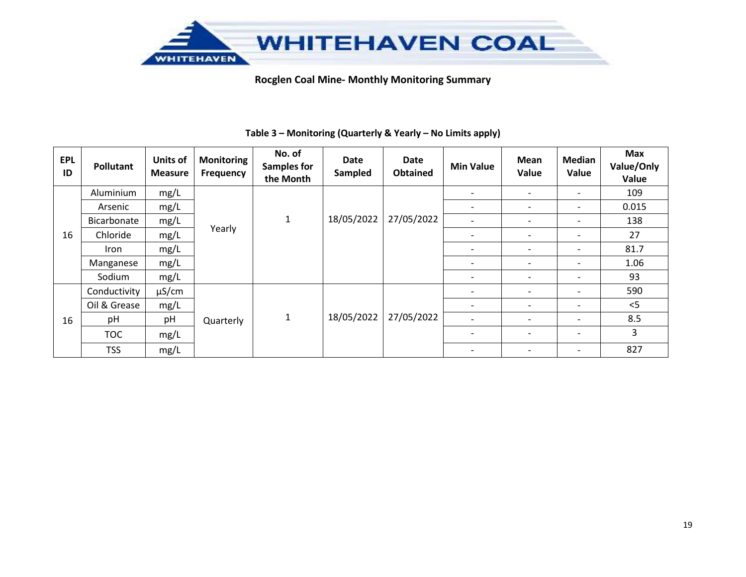

| <b>EPL</b><br>ID | Pollutant    | <b>Units of</b><br><b>Measure</b> | <b>Monitoring</b><br>Frequency | No. of<br><b>Samples for</b><br>the Month | <b>Date</b><br>Sampled | Date<br><b>Obtained</b> | <b>Min Value</b>         | Mean<br>Value | <b>Median</b><br>Value | Max<br>Value/Only<br>Value |
|------------------|--------------|-----------------------------------|--------------------------------|-------------------------------------------|------------------------|-------------------------|--------------------------|---------------|------------------------|----------------------------|
|                  | Aluminium    | mg/L                              |                                |                                           |                        |                         | -                        |               |                        | 109                        |
|                  | Arsenic      | mg/L                              | Yearly                         |                                           |                        |                         | -                        |               |                        | 0.015                      |
| 16               | Bicarbonate  | mg/L                              |                                | $\mathbf{1}$                              | 18/05/2022             | 27/05/2022              | -                        |               |                        | 138                        |
|                  | Chloride     | mg/L                              |                                |                                           |                        |                         | $\overline{\phantom{0}}$ |               |                        | 27                         |
|                  | Iron         | mg/L                              |                                |                                           |                        |                         |                          |               |                        | 81.7                       |
|                  | Manganese    | mg/L                              |                                |                                           |                        |                         | -                        |               |                        | 1.06                       |
|                  | Sodium       | mg/L                              |                                |                                           |                        |                         | -                        |               |                        | 93                         |
|                  | Conductivity | $\mu$ S/cm                        |                                |                                           |                        |                         |                          |               |                        | 590                        |
|                  | Oil & Grease | mg/L                              |                                |                                           |                        |                         |                          |               |                        | < 5                        |
| 16               | pH           | pH                                | Quarterly                      | 1                                         | 18/05/2022             | 27/05/2022              | -                        |               |                        | 8.5                        |
|                  | <b>TOC</b>   | mg/L                              |                                |                                           |                        |                         |                          |               |                        | 3                          |
|                  | <b>TSS</b>   | mg/L                              |                                |                                           |                        |                         | $\overline{\phantom{0}}$ |               |                        | 827                        |

## **Table 3 – Monitoring (Quarterly & Yearly – No Limits apply)**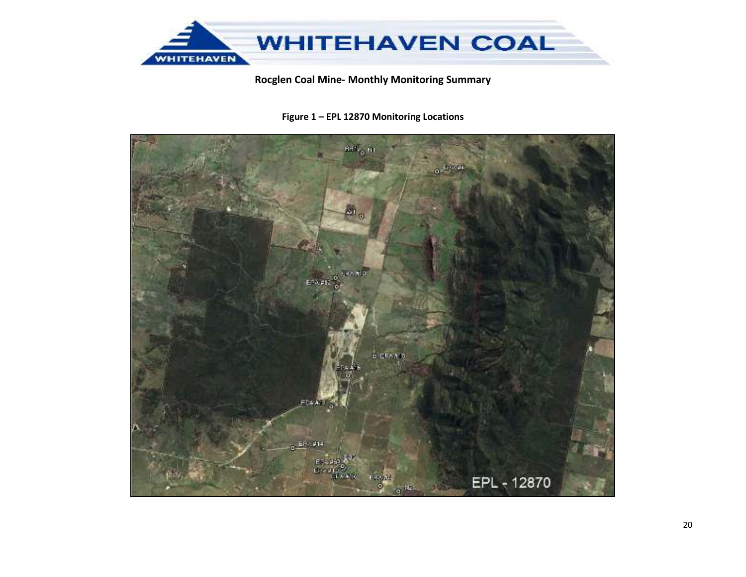

Figure 1 - EPL 12870 Monitoring Locations